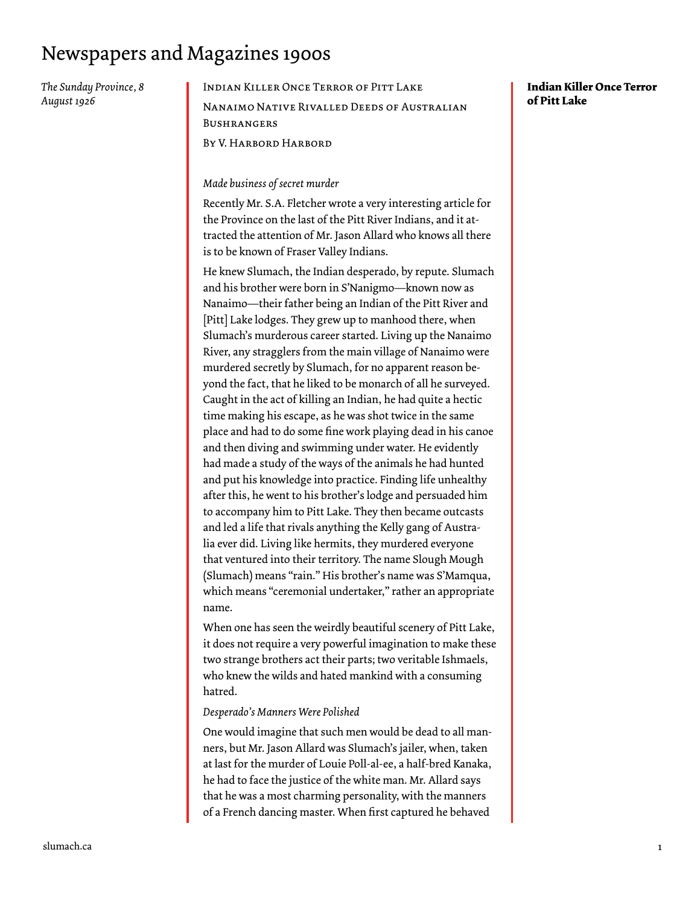### Newspapers and Magazines 1900s

*The Sunday Province, 8 August 1926*

#### Indian Killer Once Terror of Pitt Lake

Nanaimo Native Rivalled Deeds of Australian **BUSHRANGERS** 

By V. Harbord Harbord

#### *Made business of secret murder*

Recently Mr. S.A. Fletcher wrote a very interesting article for the Province on the last of the Pitt River Indians, and it attracted the attention of Mr. Jason Allard who knows all there is to be known of Fraser Valley Indians.

He knew Slumach, the Indian desperado, by repute. Slumach and his brother were born in S'Nanigmo—known now as Nanaimo—their father being an Indian of the Pitt River and [Pitt] Lake lodges. They grew up to manhood there, when Slumach's murderous career started. Living up the Nanaimo River, any stragglers from the main village of Nanaimo were murdered secretly by Slumach, for no apparent reason beyond the fact, that he liked to be monarch of all he surveyed. Caught in the act of killing an Indian, he had quite a hectic time making his escape, as he was shot twice in the same place and had to do some fine work playing dead in his canoe and then diving and swimming under water. He evidently had made a study of the ways of the animals he had hunted and put his knowledge into practice. Finding life unhealthy after this, he went to his brother's lodge and persuaded him to accompany him to Pitt Lake. They then became outcasts and led a life that rivals anything the Kelly gang of Australia ever did. Living like hermits, they murdered everyone that ventured into their territory. The name Slough Mough (Slumach) means "rain." His brother's name was S'Mamqua, which means "ceremonial undertaker," rather an appropriate name.

When one has seen the weirdly beautiful scenery of Pitt Lake, it does not require a very powerful imagination to make these two strange brothers act their parts; two veritable Ishmaels, who knew the wilds and hated mankind with a consuming hatred.

#### *Desperado's Manners Were Polished*

One would imagine that such men would be dead to all manners, but Mr. Jason Allard was Slumach's jailer, when, taken at last for the murder of Louie Poll-al-ee, a half-bred Kanaka, he had to face the justice of the white man. Mr. Allard says that he was a most charming personality, with the manners of a French dancing master. When first captured he behaved

#### **Indian Killer Once Terror of Pitt Lake**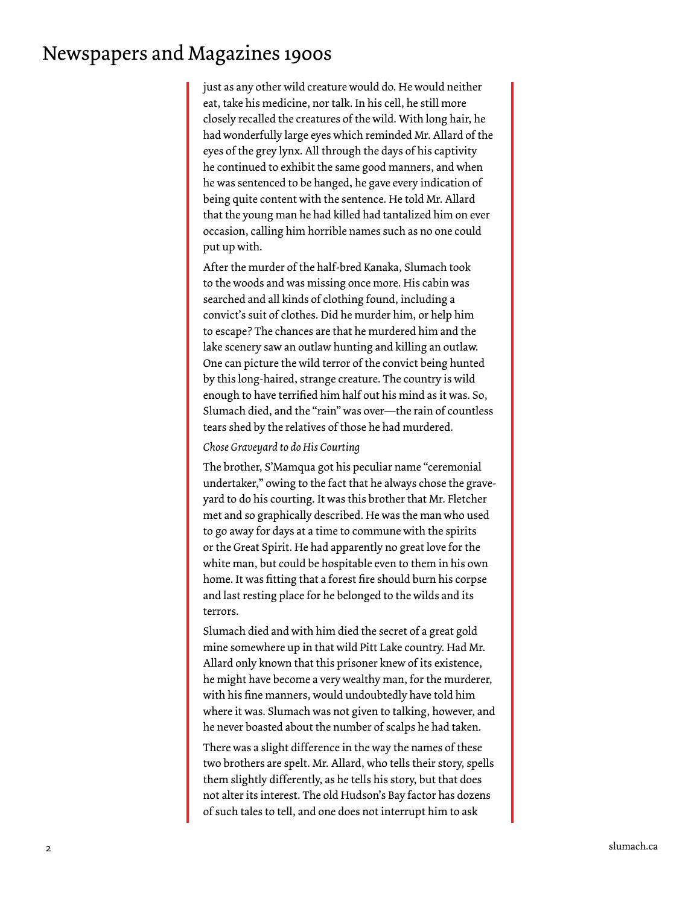## Newspapers and Magazines 1900s

just as any other wild creature would do. He would neither eat, take his medicine, nor talk. In his cell, he still more closely recalled the creatures of the wild. With long hair, he had wonderfully large eyes which reminded Mr. Allard of the eyes of the grey lynx. All through the days of his captivity he continued to exhibit the same good manners, and when he was sentenced to be hanged, he gave every indication of being quite content with the sentence. He told Mr. Allard that the young man he had killed had tantalized him on ever occasion, calling him horrible names such as no one could put up with.

After the murder of the half-bred Kanaka, Slumach took to the woods and was missing once more. His cabin was searched and all kinds of clothing found, including a convict's suit of clothes. Did he murder him, or help him to escape? The chances are that he murdered him and the lake scenery saw an outlaw hunting and killing an outlaw. One can picture the wild terror of the convict being hunted by this long-haired, strange creature. The country is wild enough to have terrified him half out his mind as it was. So, Slumach died, and the "rain" was over—the rain of countless tears shed by the relatives of those he had murdered.

#### *Chose Graveyard to do His Courting*

The brother, S'Mamqua got his peculiar name "ceremonial undertaker," owing to the fact that he always chose the graveyard to do his courting. It was this brother that Mr. Fletcher met and so graphically described. He was the man who used to go away for days at a time to commune with the spirits or the Great Spirit. He had apparently no great love for the white man, but could be hospitable even to them in his own home. It was fitting that a forest fire should burn his corpse and last resting place for he belonged to the wilds and its terrors.

Slumach died and with him died the secret of a great gold mine somewhere up in that wild Pitt Lake country. Had Mr. Allard only known that this prisoner knew of its existence, he might have become a very wealthy man, for the murderer, with his fine manners, would undoubtedly have told him where it was. Slumach was not given to talking, however, and he never boasted about the number of scalps he had taken.

There was a slight difference in the way the names of these two brothers are spelt. Mr. Allard, who tells their story, spells them slightly differently, as he tells his story, but that does not alter its interest. The old Hudson's Bay factor has dozens of such tales to tell, and one does not interrupt him to ask